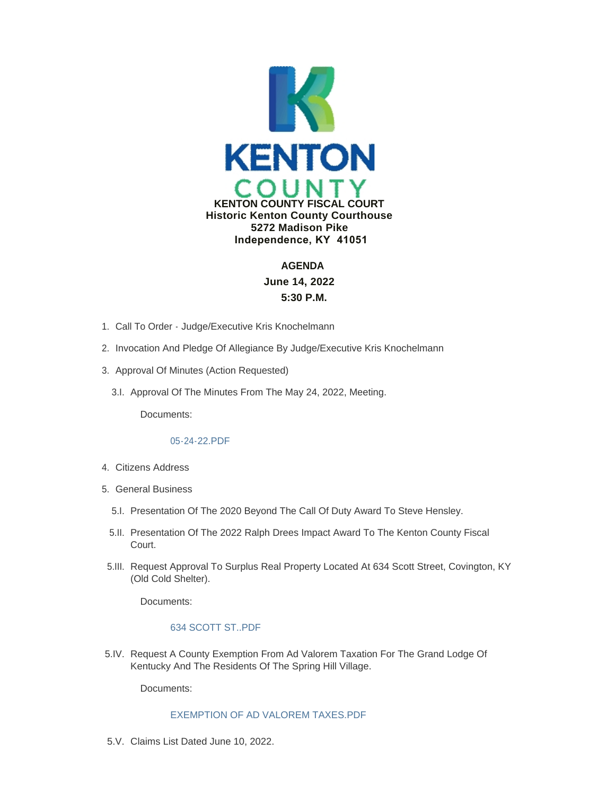

# **AGENDA June 14, 2022 5:30 P.M.**

- 1. Call To Order Judge/Executive Kris Knochelmann
- 2. Invocation And Pledge Of Allegiance By Judge/Executive Kris Knochelmann
- 3. Approval Of Minutes (Action Requested)
	- 3.I. Approval Of The Minutes From The May 24, 2022, Meeting.

Documents:

# [05-24-22.PDF](https://www.kentoncounty.org/AgendaCenter/ViewFile/Item/2749?fileID=3945)

- Citizens Address 4.
- 5. General Business
	- 5.I. Presentation Of The 2020 Beyond The Call Of Duty Award To Steve Hensley.
	- 5.II. Presentation Of The 2022 Ralph Drees Impact Award To The Kenton County Fiscal Court.
- 5. III. Request Approval To Surplus Real Property Located At 634 Scott Street, Covington, KY (Old Cold Shelter).

Documents:

# [634 SCOTT ST..PDF](https://www.kentoncounty.org/AgendaCenter/ViewFile/Item/2766?fileID=3942)

5.IV. Request A County Exemption From Ad Valorem Taxation For The Grand Lodge Of Kentucky And The Residents Of The Spring Hill Village.

Documents:

# [EXEMPTION OF AD VALOREM TAXES.PDF](https://www.kentoncounty.org/AgendaCenter/ViewFile/Item/2733?fileID=3929)

5.V. Claims List Dated June 10, 2022.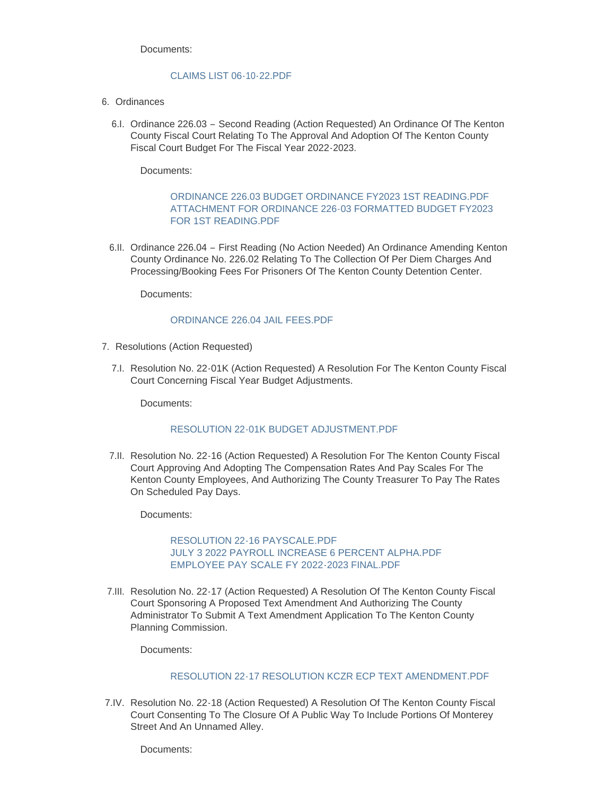Documents:

### [CLAIMS LIST 06-10-22.PDF](https://www.kentoncounty.org/AgendaCenter/ViewFile/Item/2757?fileID=3989)

- 6. Ordinances
	- 6.I. Ordinance 226.03 Second Reading (Action Requested) An Ordinance Of The Kenton County Fiscal Court Relating To The Approval And Adoption Of The Kenton County Fiscal Court Budget For The Fiscal Year 2022-2023.

Documents:

# [ORDINANCE 226.03 BUDGET ORDINANCE FY2023 1ST READING.PDF](https://www.kentoncounty.org/AgendaCenter/ViewFile/Item/2755?fileID=3930) [ATTACHMENT FOR ORDINANCE 226-03 FORMATTED BUDGET FY2023](https://www.kentoncounty.org/AgendaCenter/ViewFile/Item/2755?fileID=3931)  FOR 1ST READING.PDF

6.II. Ordinance 226.04 - First Reading (No Action Needed) An Ordinance Amending Kenton County Ordinance No. 226.02 Relating To The Collection Of Per Diem Charges And Processing/Booking Fees For Prisoners Of The Kenton County Detention Center.

Documents:

# [ORDINANCE 226.04 JAIL FEES.PDF](https://www.kentoncounty.org/AgendaCenter/ViewFile/Item/2791?fileID=3991)

- 7. Resolutions (Action Requested)
	- 7.I. Resolution No. 22-01K (Action Requested) A Resolution For The Kenton County Fiscal Court Concerning Fiscal Year Budget Adjustments.

Documents:

# [RESOLUTION 22-01K BUDGET ADJUSTMENT.PDF](https://www.kentoncounty.org/AgendaCenter/ViewFile/Item/2756?fileID=3990)

7.II. Resolution No. 22-16 (Action Requested) A Resolution For The Kenton County Fiscal Court Approving And Adopting The Compensation Rates And Pay Scales For The Kenton County Employees, And Authorizing The County Treasurer To Pay The Rates On Scheduled Pay Days.

Documents:

[RESOLUTION 22-16 PAYSCALE.PDF](https://www.kentoncounty.org/AgendaCenter/ViewFile/Item/2762?fileID=3938) [JULY 3 2022 PAYROLL INCREASE 6 PERCENT ALPHA.PDF](https://www.kentoncounty.org/AgendaCenter/ViewFile/Item/2762?fileID=3961) [EMPLOYEE PAY SCALE FY 2022-2023 FINAL.PDF](https://www.kentoncounty.org/AgendaCenter/ViewFile/Item/2762?fileID=4015)

7.III. Resolution No. 22-17 (Action Requested) A Resolution Of The Kenton County Fiscal Court Sponsoring A Proposed Text Amendment And Authorizing The County Administrator To Submit A Text Amendment Application To The Kenton County Planning Commission.

Documents:

# [RESOLUTION 22-17 RESOLUTION KCZR ECP TEXT AMENDMENT.PDF](https://www.kentoncounty.org/AgendaCenter/ViewFile/Item/2775?fileID=3954)

7.IV. Resolution No. 22-18 (Action Requested) A Resolution Of The Kenton County Fiscal Court Consenting To The Closure Of A Public Way To Include Portions Of Monterey Street And An Unnamed Alley.

Documents: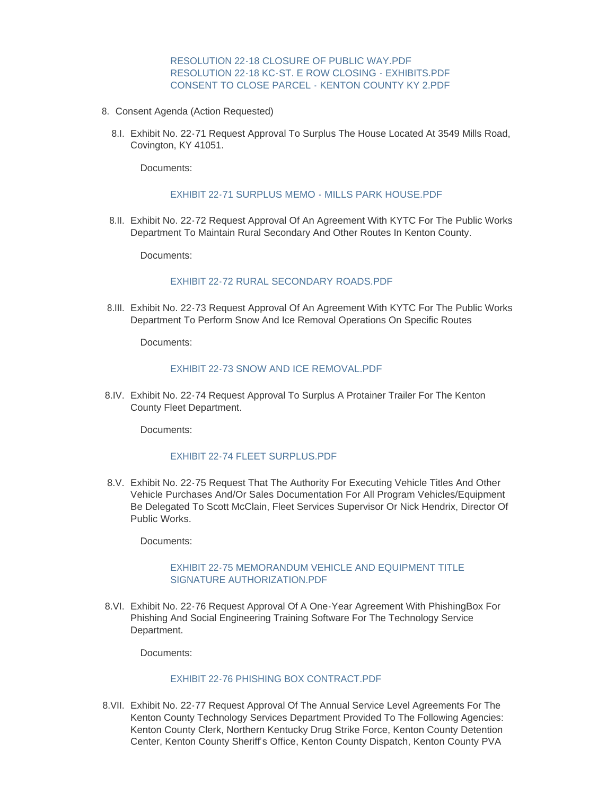[RESOLUTION 22-18 CLOSURE OF PUBLIC WAY.PDF](https://www.kentoncounty.org/AgendaCenter/ViewFile/Item/2807?fileID=4008) [RESOLUTION 22-18 KC-ST. E ROW CLOSING - EXHIBITS.PDF](https://www.kentoncounty.org/AgendaCenter/ViewFile/Item/2807?fileID=4009) [CONSENT TO CLOSE PARCEL - KENTON COUNTY KY 2.PDF](https://www.kentoncounty.org/AgendaCenter/ViewFile/Item/2807?fileID=4010)

- Consent Agenda (Action Requested) 8.
	- Exhibit No. 22-71 Request Approval To Surplus The House Located At 3549 Mills Road, 8.I. Covington, KY 41051.

Documents:

### [EXHIBIT 22-71 SURPLUS MEMO - MILLS PARK HOUSE.PDF](https://www.kentoncounty.org/AgendaCenter/ViewFile/Item/2758?fileID=3932)

Exhibit No. 22-72 Request Approval Of An Agreement With KYTC For The Public Works 8.II. Department To Maintain Rural Secondary And Other Routes In Kenton County.

Documents:

#### [EXHIBIT 22-72 RURAL SECONDARY ROADS.PDF](https://www.kentoncounty.org/AgendaCenter/ViewFile/Item/2759?fileID=3934)

Exhibit No. 22-73 Request Approval Of An Agreement With KYTC For The Public Works 8.III. Department To Perform Snow And Ice Removal Operations On Specific Routes

Documents:

#### [EXHIBIT 22-73 SNOW AND ICE REMOVAL.PDF](https://www.kentoncounty.org/AgendaCenter/ViewFile/Item/2760?fileID=3935)

Exhibit No. 22-74 Request Approval To Surplus A Protainer Trailer For The Kenton 8.IV. County Fleet Department.

Documents:

#### [EXHIBIT 22-74 FLEET SURPLUS.PDF](https://www.kentoncounty.org/AgendaCenter/ViewFile/Item/2764?fileID=3939)

Exhibit No. 22-75 Request That The Authority For Executing Vehicle Titles And Other 8.V. Vehicle Purchases And/Or Sales Documentation For All Program Vehicles/Equipment Be Delegated To Scott McClain, Fleet Services Supervisor Or Nick Hendrix, Director Of Public Works.

Documents:

#### [EXHIBIT 22-75 MEMORANDUM VEHICLE AND EQUIPMENT TITLE](https://www.kentoncounty.org/AgendaCenter/ViewFile/Item/2765?fileID=3940)  SIGNATURE AUTHORIZATION.PDF

8.VI. Exhibit No. 22-76 Request Approval Of A One-Year Agreement With PhishingBox For Phishing And Social Engineering Training Software For The Technology Service Department.

Documents:

# [EXHIBIT 22-76 PHISHING BOX CONTRACT.PDF](https://www.kentoncounty.org/AgendaCenter/ViewFile/Item/2770?fileID=3944)

Exhibit No. 22-77 Request Approval Of The Annual Service Level Agreements For The 8.VII. Kenton County Technology Services Department Provided To The Following Agencies: Kenton County Clerk, Northern Kentucky Drug Strike Force, Kenton County Detention Center, Kenton County Sheriff's Office, Kenton County Dispatch, Kenton County PVA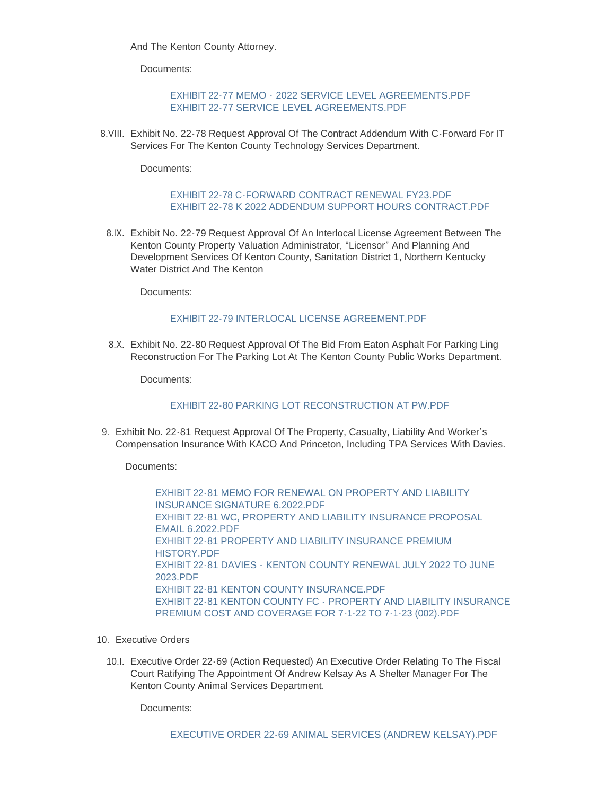And The Kenton County Attorney.

Documents:

# EXHIBIT 22-77 MEMO - [2022 SERVICE LEVEL AGREEMENTS.PDF](https://www.kentoncounty.org/AgendaCenter/ViewFile/Item/2772?fileID=3950) [EXHIBIT 22-77 SERVICE LEVEL AGREEMENTS.PDF](https://www.kentoncounty.org/AgendaCenter/ViewFile/Item/2772?fileID=4005)

8. VIII. Exhibit No. 22-78 Request Approval Of The Contract Addendum With C-Forward For IT Services For The Kenton County Technology Services Department.

Documents:

# [EXHIBIT 22-78 C-FORWARD CONTRACT RENEWAL FY23.PDF](https://www.kentoncounty.org/AgendaCenter/ViewFile/Item/2773?fileID=3998) EXHIBIT 22-78 K 2022 ADDENDUM SUPPORT HOURS CONTRACT PDF

8.IX. Exhibit No. 22-79 Request Approval Of An Interlocal License Agreement Between The Kenton County Property Valuation Administrator, "Licensor" And Planning And Development Services Of Kenton County, Sanitation District 1, Northern Kentucky Water District And The Kenton

Documents:

# [EXHIBIT 22-79 INTERLOCAL LICENSE AGREEMENT.PDF](https://www.kentoncounty.org/AgendaCenter/ViewFile/Item/2774?fileID=4014)

Exhibit No. 22-80 Request Approval Of The Bid From Eaton Asphalt For Parking Ling 8.X. Reconstruction For The Parking Lot At The Kenton County Public Works Department.

Documents:

# [EXHIBIT 22-80 PARKING LOT RECONSTRUCTION AT PW.PDF](https://www.kentoncounty.org/AgendaCenter/ViewFile/Item/2776?fileID=3955)

9. Exhibit No. 22-81 Request Approval Of The Property, Casualty, Liability And Worker's Compensation Insurance With KACO And Princeton, Including TPA Services With Davies.

Documents:

[EXHIBIT 22-81 MEMO FOR RENEWAL ON PROPERTY AND LIABILITY](https://www.kentoncounty.org/AgendaCenter/ViewFile/Item/2777?fileID=3958)  INSURANCE SIGNATURE 6.2022.PDF [EXHIBIT 22-81 WC, PROPERTY AND LIABILITY INSURANCE PROPOSAL](https://www.kentoncounty.org/AgendaCenter/ViewFile/Item/2777?fileID=3956)  EMAIL 6.2022.PDF [EXHIBIT 22-81 PROPERTY AND LIABILITY INSURANCE PREMIUM](https://www.kentoncounty.org/AgendaCenter/ViewFile/Item/2777?fileID=3957)  HISTORY.PDF EXHIBIT 22-81 DAVIES - [KENTON COUNTY RENEWAL JULY 2022 TO JUNE](https://www.kentoncounty.org/AgendaCenter/ViewFile/Item/2777?fileID=3960)  2023.PDF EXHIBIT 22-81 KENTON COUNTY INSURANCE PDE [EXHIBIT 22-81 KENTON COUNTY FC - PROPERTY AND LIABILITY INSURANCE](https://www.kentoncounty.org/AgendaCenter/ViewFile/Item/2777?fileID=3993)  PREMIUM COST AND COVERAGE FOR 7-1-22 TO 7-1-23 (002).PDF

- 10. Executive Orders
	- 10.I. Executive Order 22-69 (Action Requested) An Executive Order Relating To The Fiscal Court Ratifying The Appointment Of Andrew Kelsay As A Shelter Manager For The Kenton County Animal Services Department.

Documents: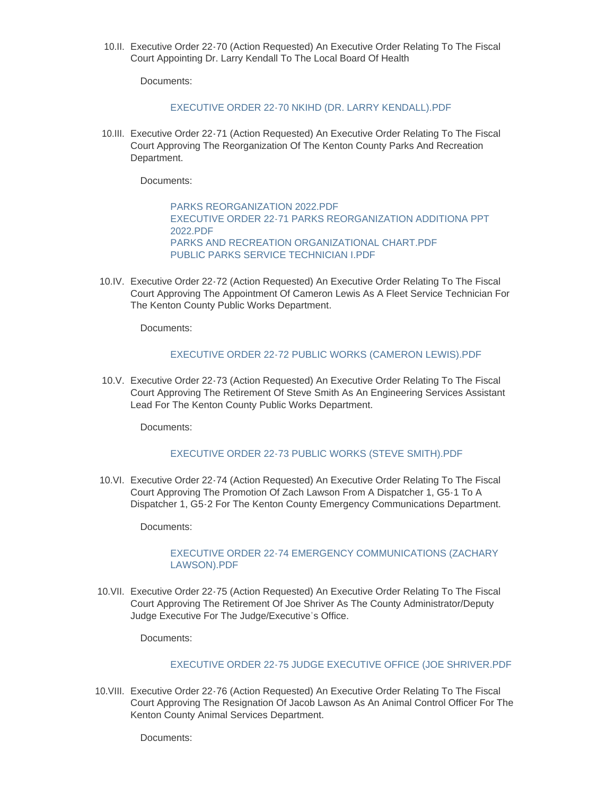10.II. Executive Order 22-70 (Action Requested) An Executive Order Relating To The Fiscal Court Appointing Dr. Larry Kendall To The Local Board Of Health

Documents:

### [EXECUTIVE ORDER 22-70 NKIHD \(DR. LARRY KENDALL\).PDF](https://www.kentoncounty.org/AgendaCenter/ViewFile/Item/2769?fileID=3943)

10.III. Executive Order 22-71 (Action Requested) An Executive Order Relating To The Fiscal Court Approving The Reorganization Of The Kenton County Parks And Recreation Department.

Documents:

[PARKS REORGANIZATION 2022.PDF](https://www.kentoncounty.org/AgendaCenter/ViewFile/Item/2771?fileID=3976) [EXECUTIVE ORDER 22-71 PARKS REORGANIZATION ADDITIONA PPT](https://www.kentoncounty.org/AgendaCenter/ViewFile/Item/2771?fileID=3977)  2022.PDF [PARKS AND RECREATION ORGANIZATIONAL CHART.PDF](https://www.kentoncounty.org/AgendaCenter/ViewFile/Item/2771?fileID=3978) [PUBLIC PARKS SERVICE TECHNICIAN I.PDF](https://www.kentoncounty.org/AgendaCenter/ViewFile/Item/2771?fileID=3979)

10.IV. Executive Order 22-72 (Action Requested) An Executive Order Relating To The Fiscal Court Approving The Appointment Of Cameron Lewis As A Fleet Service Technician For The Kenton County Public Works Department.

Documents:

### [EXECUTIVE ORDER 22-72 PUBLIC WORKS \(CAMERON LEWIS\).PDF](https://www.kentoncounty.org/AgendaCenter/ViewFile/Item/2788?fileID=3981)

10.V. Executive Order 22-73 (Action Requested) An Executive Order Relating To The Fiscal Court Approving The Retirement Of Steve Smith As An Engineering Services Assistant Lead For The Kenton County Public Works Department.

Documents:

# [EXECUTIVE ORDER 22-73 PUBLIC WORKS \(STEVE SMITH\).PDF](https://www.kentoncounty.org/AgendaCenter/ViewFile/Item/2787?fileID=3980)

10.VI. Executive Order 22-74 (Action Requested) An Executive Order Relating To The Fiscal Court Approving The Promotion Of Zach Lawson From A Dispatcher 1, G5-1 To A Dispatcher 1, G5-2 For The Kenton County Emergency Communications Department.

Documents:

# [EXECUTIVE ORDER 22-74 EMERGENCY COMMUNICATIONS \(ZACHARY](https://www.kentoncounty.org/AgendaCenter/ViewFile/Item/2790?fileID=4016)  LAWSON).PDF

10.VII. Executive Order 22-75 (Action Requested) An Executive Order Relating To The Fiscal Court Approving The Retirement Of Joe Shriver As The County Administrator/Deputy Judge Executive For The Judge/Executive's Office.

Documents:

# [EXECUTIVE ORDER 22-75 JUDGE EXECUTIVE OFFICE \(JOE SHRIVER.PDF](https://www.kentoncounty.org/AgendaCenter/ViewFile/Item/2784?fileID=3982)

10. VIII. Executive Order 22-76 (Action Requested) An Executive Order Relating To The Fiscal Court Approving The Resignation Of Jacob Lawson As An Animal Control Officer For The Kenton County Animal Services Department.

Documents: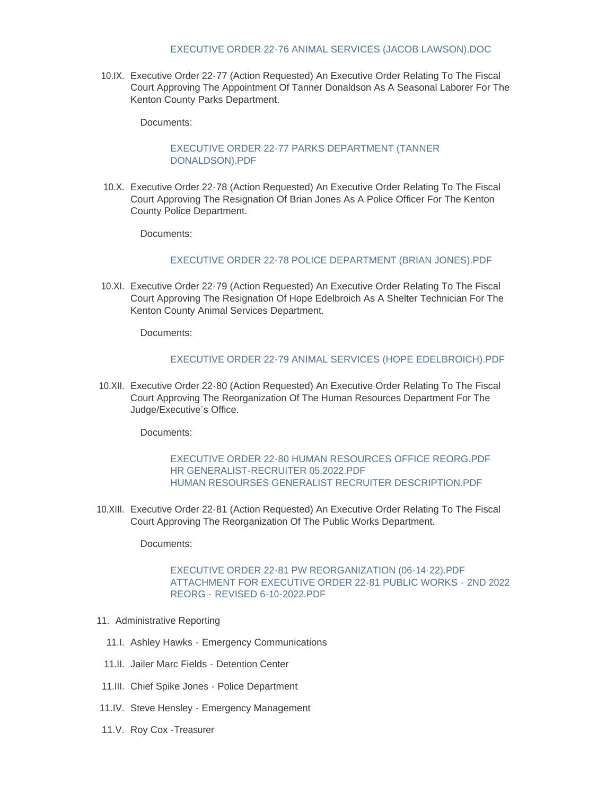### [EXECUTIVE ORDER 22-76 ANIMAL SERVICES \(JACOB LAWSON\).DOC](https://www.kentoncounty.org/AgendaCenter/ViewFile/Item/2783?fileID=3987)

10.IX. Executive Order 22-77 (Action Requested) An Executive Order Relating To The Fiscal Court Approving The Appointment Of Tanner Donaldson As A Seasonal Laborer For The Kenton County Parks Department.

Documents:

# [EXECUTIVE ORDER 22-77 PARKS DEPARTMENT \(TANNER](https://www.kentoncounty.org/AgendaCenter/ViewFile/Item/2782?fileID=3984)  DONALDSON).PDF

10.X. Executive Order 22-78 (Action Requested) An Executive Order Relating To The Fiscal Court Approving The Resignation Of Brian Jones As A Police Officer For The Kenton County Police Department.

Documents:

# [EXECUTIVE ORDER 22-78 POLICE DEPARTMENT \(BRIAN JONES\).PDF](https://www.kentoncounty.org/AgendaCenter/ViewFile/Item/2780?fileID=4003)

10.XI. Executive Order 22-79 (Action Requested) An Executive Order Relating To The Fiscal Court Approving The Resignation Of Hope Edelbroich As A Shelter Technician For The Kenton County Animal Services Department.

Documents:

### [EXECUTIVE ORDER 22-79 ANIMAL SERVICES \(HOPE EDELBROICH\).PDF](https://www.kentoncounty.org/AgendaCenter/ViewFile/Item/2779?fileID=4002)

Executive Order 22-80 (Action Requested) An Executive Order Relating To The Fiscal 10.XII. Court Approving The Reorganization Of The Human Resources Department For The Judge/Executive's Office.

Documents:

# [EXECUTIVE ORDER 22-80 HUMAN RESOURCES OFFICE REORG.PDF](https://www.kentoncounty.org/AgendaCenter/ViewFile/Item/2778?fileID=4004) [HR GENERALIST-RECRUITER 05.2022.PDF](https://www.kentoncounty.org/AgendaCenter/ViewFile/Item/2778?fileID=3968) [HUMAN RESOURSES GENERALIST RECRUITER DESCRIPTION.PDF](https://www.kentoncounty.org/AgendaCenter/ViewFile/Item/2778?fileID=3969)

10.XIII. Executive Order 22-81 (Action Requested) An Executive Order Relating To The Fiscal Court Approving The Reorganization Of The Public Works Department.

Documents:

# [EXECUTIVE ORDER 22-81 PW REORGANIZATION \(06-14-22\).PDF](https://www.kentoncounty.org/AgendaCenter/ViewFile/Item/2789?fileID=4000) [ATTACHMENT FOR EXECUTIVE ORDER 22-81 PUBLIC WORKS -](https://www.kentoncounty.org/AgendaCenter/ViewFile/Item/2789?fileID=4001) 2ND 2022 REORG - REVISED 6-10-2022.PDF

- 11. Administrative Reporting
	- 11.I. Ashley Hawks Emergency Communications
	- 11.II. Jailer Marc Fields Detention Center
- 11.III. Chief Spike Jones Police Department
- 11.IV. Steve Hensley Emergency Management
- 11.V. Roy Cox Treasurer